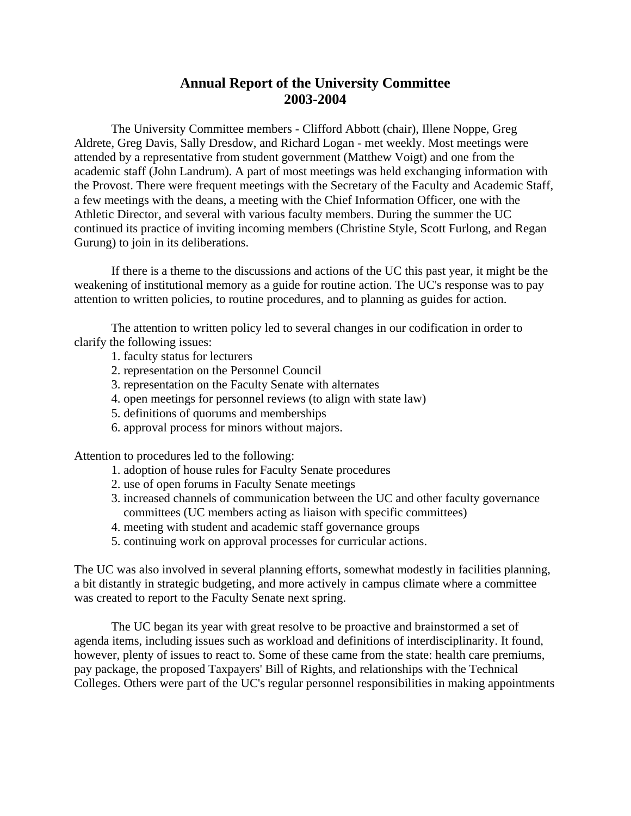## **Annual Report of the University Committee 2003-2004**

 The University Committee members - Clifford Abbott (chair), Illene Noppe, Greg Aldrete, Greg Davis, Sally Dresdow, and Richard Logan - met weekly. Most meetings were attended by a representative from student government (Matthew Voigt) and one from the academic staff (John Landrum). A part of most meetings was held exchanging information with the Provost. There were frequent meetings with the Secretary of the Faculty and Academic Staff, a few meetings with the deans, a meeting with the Chief Information Officer, one with the Athletic Director, and several with various faculty members. During the summer the UC continued its practice of inviting incoming members (Christine Style, Scott Furlong, and Regan Gurung) to join in its deliberations.

 If there is a theme to the discussions and actions of the UC this past year, it might be the weakening of institutional memory as a guide for routine action. The UC's response was to pay attention to written policies, to routine procedures, and to planning as guides for action.

 The attention to written policy led to several changes in our codification in order to clarify the following issues:

- 1. faculty status for lecturers
- 2. representation on the Personnel Council
- 3. representation on the Faculty Senate with alternates
- 4. open meetings for personnel reviews (to align with state law)
- 5. definitions of quorums and memberships
- 6. approval process for minors without majors.

Attention to procedures led to the following:

- 1. adoption of house rules for Faculty Senate procedures
- 2. use of open forums in Faculty Senate meetings
- 3. increased channels of communication between the UC and other faculty governance committees (UC members acting as liaison with specific committees)
- 4. meeting with student and academic staff governance groups
- 5. continuing work on approval processes for curricular actions.

The UC was also involved in several planning efforts, somewhat modestly in facilities planning, a bit distantly in strategic budgeting, and more actively in campus climate where a committee was created to report to the Faculty Senate next spring.

 The UC began its year with great resolve to be proactive and brainstormed a set of agenda items, including issues such as workload and definitions of interdisciplinarity. It found, however, plenty of issues to react to. Some of these came from the state: health care premiums, pay package, the proposed Taxpayers' Bill of Rights, and relationships with the Technical Colleges. Others were part of the UC's regular personnel responsibilities in making appointments